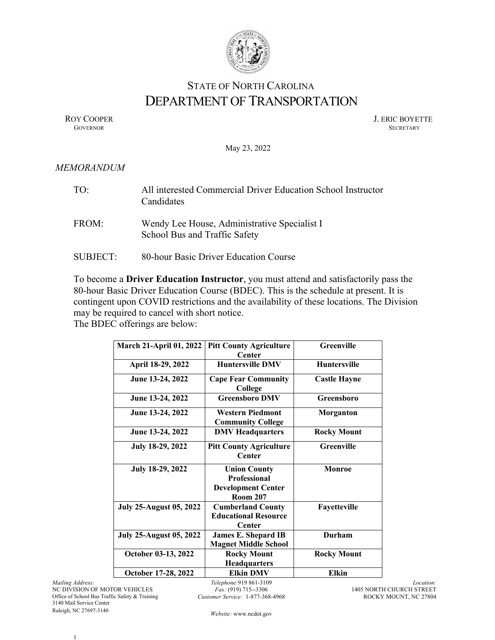

## STATE OF NORTH CAROLINA DEPARTMENT OF TRANSPORTATION

ROY COOPER J. ERIC BOYETTE GOVERNOR SECRETARY GOVERNOR SECRETARY SECRETARY SECRETARY SECRETARY SECRETARY SECRETARY SECRETARY SECRETARY

May 23, 2022

## *MEMORANDUM*

| TO:             | All interested Commercial Driver Education School Instructor<br>Candidates    |
|-----------------|-------------------------------------------------------------------------------|
| FROM:           | Wendy Lee House, Administrative Specialist I<br>School Bus and Traffic Safety |
| <b>SUBJECT:</b> | 80-hour Basic Driver Education Course                                         |

To become a **Driver Education Instructor**, you must attend and satisfactorily pass the 80-hour Basic Driver Education Course (BDEC). This is the schedule at present. It is contingent upon COVID restrictions and the availability of these locations. The Division may be required to cancel with short notice.

The BDEC offerings are below:

| <b>March 21-April 01, 2022</b> | <b>Pitt County Agriculture</b>                                                             | Greenville          |
|--------------------------------|--------------------------------------------------------------------------------------------|---------------------|
|                                | <b>Center</b>                                                                              |                     |
| April 18-29, 2022              | <b>Huntersville DMV</b>                                                                    | <b>Huntersville</b> |
| June 13-24, 2022               | <b>Cape Fear Community</b><br>College                                                      | <b>Castle Hayne</b> |
| June 13-24, 2022               | <b>Greensboro DMV</b>                                                                      | Greensboro          |
| June 13-24, 2022               | <b>Western Piedmont</b><br><b>Community College</b>                                        | Morganton           |
| June 13-24, 2022               | <b>DMV</b> Headquarters                                                                    | <b>Rocky Mount</b>  |
| July 18-29, 2022               | <b>Pitt County Agriculture</b><br><b>Center</b>                                            | <b>Greenville</b>   |
| July 18-29, 2022               | <b>Union County</b><br><b>Professional</b><br><b>Development Center</b><br><b>Room 207</b> | <b>Monroe</b>       |
| <b>July 25-August 05, 2022</b> | <b>Cumberland County</b><br><b>Educational Resource</b><br><b>Center</b>                   | Fayetteville        |
| <b>July 25-August 05, 2022</b> | <b>James E. Shepard IB</b><br><b>Magnet Middle School</b>                                  | Durham              |
| October 03-13, 2022            | <b>Rocky Mount</b><br><b>Headquarters</b>                                                  | <b>Rocky Mount</b>  |
| October 17-28, 2022            | <b>Elkin DMV</b>                                                                           | <b>Elkin</b>        |

*Mailing Address:* NC DIVISION OF MOTOR VEHICLES Office of School Bus Traffic Safety & Training 3140 Mail Service Center Raleigh, NC 27697-3140

*Telephone:*919 861-3109 *Fax:* (919) 715--3306 *Customer Service:* 1-877-368-4968

*Location:* 1405 NORTH CHURCH STREET ROCKY MOUNT, NC 27804

*Website:* www.ncdot.gov